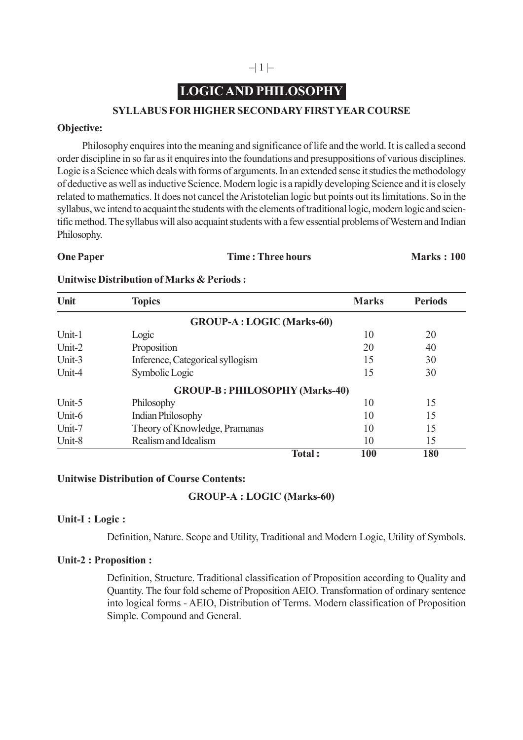## $-|1| -$

# **LOGIC AND PHILOSOPHY**

#### **SYLLABUS FOR HIGHER SECONDARY FIRST YEAR COURSE**

#### **Objective:**

Philosophy enquires into the meaning and significance of life and the world. It is called a second order discipline in so far as it enquires into the foundations and presuppositions of various disciplines. Logic is a Science which deals with forms of arguments. In an extended sense it studies the methodology of deductive as well as inductive Science. Modern logic is a rapidly developing Science and it is closely related to mathematics. It does not cancel the Aristotelian logic but points out its limitations. So in the syllabus, we intend to acquaint the students with the elements of traditional logic, modern logic and scientific method. The syllabus will also acquaint students with a few essential problems of Western and Indian Philosophy.

**One Paper Time : Three hours Marks : 100** 

#### **Unitwise Distribution of Marks & Periods :**

| Unit                              | <b>Topics</b>                         | <b>Marks</b>  | <b>Periods</b> |
|-----------------------------------|---------------------------------------|---------------|----------------|
| <b>GROUP-A</b> : LOGIC (Marks-60) |                                       |               |                |
| Unit-1                            | Logic                                 | 10            | 20             |
| Unit-2                            | Proposition                           | 20            | 40             |
| Unit-3                            | Inference, Categorical syllogism      | 15            | 30             |
| Unit-4                            | Symbolic Logic                        | 15            | 30             |
|                                   | <b>GROUP-B: PHILOSOPHY (Marks-40)</b> |               |                |
| Unit-5                            | Philosophy                            | 10            | 15             |
| Unit-6                            | <b>Indian Philosophy</b>              | 10            | 15             |
| Unit-7                            | Theory of Knowledge, Pramanas         | 10            | 15             |
| Unit-8                            | Realism and Idealism                  | 10            | 15             |
|                                   |                                       | Total:<br>100 | 180            |

#### **Unitwise Distribution of Course Contents:**

### **GROUP-A : LOGIC (Marks-60)**

#### **Unit-I : Logic :**

Definition, Nature. Scope and Utility, Traditional and Modern Logic, Utility of Symbols.

#### **Unit-2 : Proposition :**

Definition, Structure. Traditional classification of Proposition according to Quality and Quantity. The four fold scheme of Proposition AEIO. Transformation of ordinary sentence into logical forms - AEIO, Distribution of Terms. Modern classification of Proposition Simple. Compound and General.